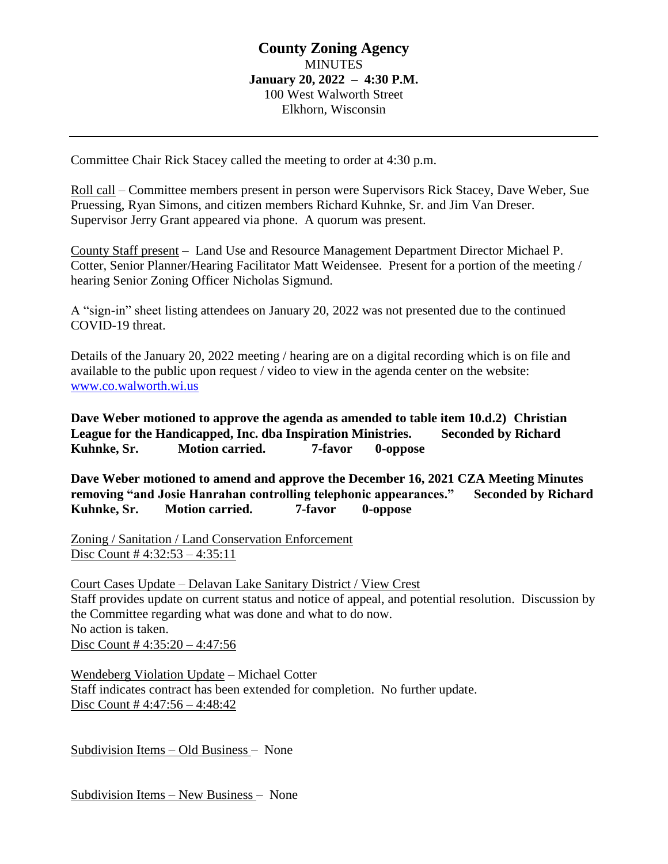# **County Zoning Agency MINUTES January 20, 2022 – 4:30 P.M.** 100 West Walworth Street Elkhorn, Wisconsin

Committee Chair Rick Stacey called the meeting to order at 4:30 p.m.

Roll call – Committee members present in person were Supervisors Rick Stacey, Dave Weber, Sue Pruessing, Ryan Simons, and citizen members Richard Kuhnke, Sr. and Jim Van Dreser. Supervisor Jerry Grant appeared via phone. A quorum was present.

County Staff present – Land Use and Resource Management Department Director Michael P. Cotter, Senior Planner/Hearing Facilitator Matt Weidensee. Present for a portion of the meeting / hearing Senior Zoning Officer Nicholas Sigmund.

A "sign-in" sheet listing attendees on January 20, 2022 was not presented due to the continued COVID-19 threat.

Details of the January 20, 2022 meeting / hearing are on a digital recording which is on file and available to the public upon request / video to view in the agenda center on the website: [www.co.walworth.wi.us](http://www.co.walworth.wi.us/)

**Dave Weber motioned to approve the agenda as amended to table item 10.d.2) Christian League for the Handicapped, Inc. dba Inspiration Ministries. Seconded by Richard Kuhnke, Sr. Motion carried. 7-favor 0-oppose**

**Dave Weber motioned to amend and approve the December 16, 2021 CZA Meeting Minutes removing "and Josie Hanrahan controlling telephonic appearances." Seconded by Richard Kuhnke, Sr. Motion carried. 7-favor 0-oppose**

Zoning / Sanitation / Land Conservation Enforcement Disc Count # 4:32:53 – 4:35:11

Court Cases Update – Delavan Lake Sanitary District / View Crest Staff provides update on current status and notice of appeal, and potential resolution. Discussion by the Committee regarding what was done and what to do now. No action is taken. Disc Count # 4:35:20 – 4:47:56

Wendeberg Violation Update – Michael Cotter Staff indicates contract has been extended for completion. No further update. Disc Count # 4:47:56 – 4:48:42

Subdivision Items – Old Business – None

Subdivision Items – New Business – None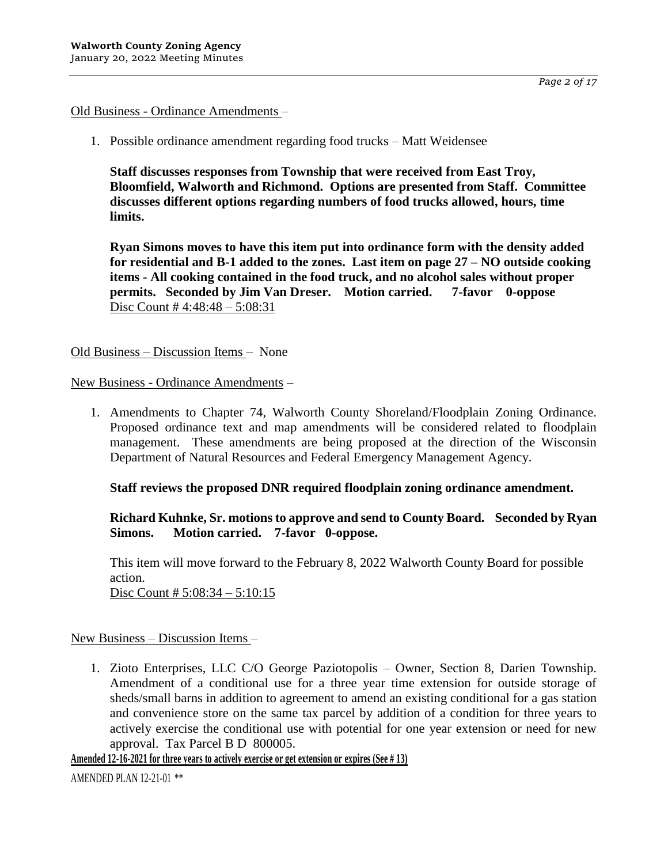# Old Business - Ordinance Amendments –

1. Possible ordinance amendment regarding food trucks – Matt Weidensee

**Staff discusses responses from Township that were received from East Troy, Bloomfield, Walworth and Richmond. Options are presented from Staff. Committee discusses different options regarding numbers of food trucks allowed, hours, time limits.**

**Ryan Simons moves to have this item put into ordinance form with the density added for residential and B-1 added to the zones. Last item on page 27 – NO outside cooking items - All cooking contained in the food truck, and no alcohol sales without proper permits. Seconded by Jim Van Dreser. Motion carried. 7-favor 0-oppose** Disc Count # 4:48:48 – 5:08:31

Old Business – Discussion Items – None

New Business - Ordinance Amendments –

1. Amendments to Chapter 74, Walworth County Shoreland/Floodplain Zoning Ordinance. Proposed ordinance text and map amendments will be considered related to floodplain management. These amendments are being proposed at the direction of the Wisconsin Department of Natural Resources and Federal Emergency Management Agency.

# **Staff reviews the proposed DNR required floodplain zoning ordinance amendment.**

**Richard Kuhnke, Sr. motions to approve and send to County Board. Seconded by Ryan Simons. Motion carried. 7-favor 0-oppose.**

This item will move forward to the February 8, 2022 Walworth County Board for possible action. Disc Count #  $5:08:34 - 5:10:15$ 

# New Business – Discussion Items –

1. Zioto Enterprises, LLC C/O George Paziotopolis – Owner, Section 8, Darien Township. Amendment of a conditional use for a three year time extension for outside storage of sheds/small barns in addition to agreement to amend an existing conditional for a gas station and convenience store on the same tax parcel by addition of a condition for three years to actively exercise the conditional use with potential for one year extension or need for new approval. Tax Parcel B D 800005.

**Amended 12-16-2021 for three years to actively exercise or get extension or expires (See # 13)**

AMENDED PLAN 12-21-01 \*\*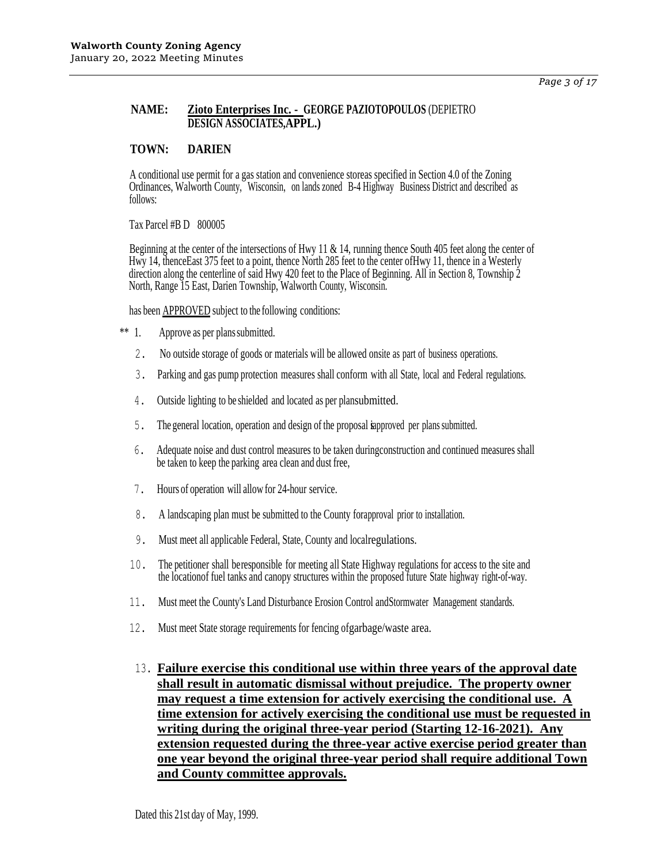### **NAME: Zioto Enterprises Inc. - GEORGE PAZIOTOPOULOS** (DEPIETRO **DESIGN ASSOCIATES,APPL.)**

### **TOWN: DARIEN**

A conditional use permit for a gas station and convenience storeas specified in Section 4.0 of the Zoning Ordinances, Walworth County, Wisconsin, on lands zoned B-4 Highway Business District and described as follows:

Tax Parcel #B D 800005

Beginning at the center of the intersections of Hwy 11 & 14, running thence South 405 feet along the center of Hwy 14, thenceEast 375 feet to a point, thence North 285 feet to the center of Hwy 11, thence in a Westerly direction along the centerline of said Hwy 420 feet to the Place of Beginning. All in Section 8, Township 2 North, Range 15 East, Darien Township, Walworth County, Wisconsin.

has been **APPROVED** subject to the following conditions:

- \*\* 1. Approve as per planssubmitted.
	- 2. No outside storage of goods or materials will be allowed onsite as part of business operations.
	- 3. Parking and gas pump protection measures shall conform with all State, local and Federal regulations.
	- 4. Outside lighting to be shielded and located as per plansubmitted.
	- 5. The general location, operation and design of the proposal isapproved per plans submitted.
	- 6. Adequate noise and dust control measures to be taken duringconstruction and continued measures shall be taken to keep the parking area clean and dust free,
	- 7. Hours of operation will allow for 24-hour service.
	- 8. A landscaping plan must be submitted to the County forapproval prior to installation.
	- 9. Must meet all applicable Federal, State, County and localregulations.
	- 10. The petitioner shall beresponsible for meeting all State Highway regulations for access to the site and the locationof fuel tanks and canopy structures within the proposed future State highway right-of-way.
	- 11. Must meet the County's Land Disturbance Erosion Control andStormwater Management standards.
	- 12. Must meet State storage requirements for fencing ofgarbage/waste area.
	- 13. **Failure exercise this conditional use within three years of the approval date shall result in automatic dismissal without prejudice. The property owner may request a time extension for actively exercising the conditional use. A time extension for actively exercising the conditional use must be requested in writing during the original three-year period (Starting 12-16-2021). Any extension requested during the three-year active exercise period greater than one year beyond the original three-year period shall require additional Town and County committee approvals.**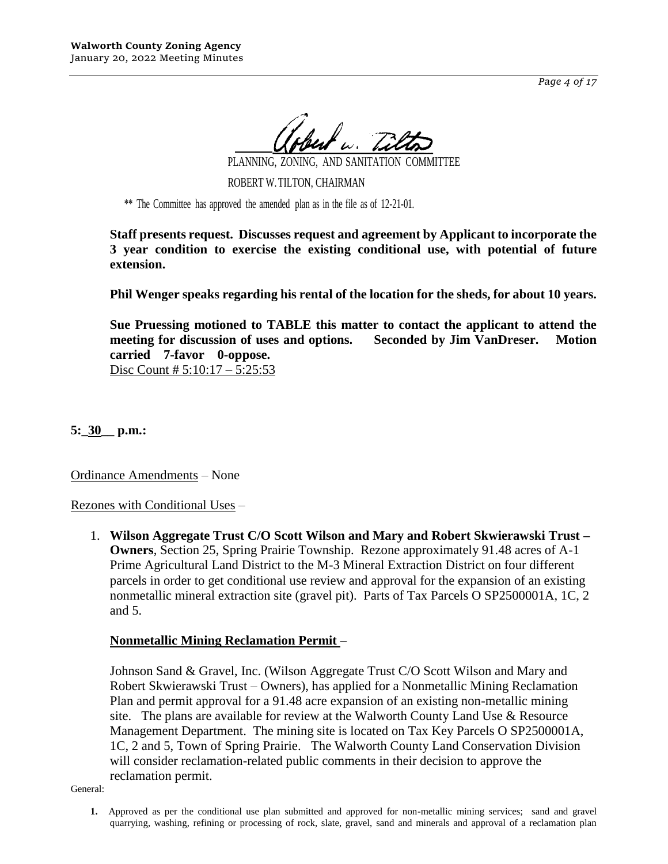*Page 4 of 17*

PLANNING, ZONING, AND SANITATION COMMITTEE

ROBERT W.TILTON, CHAIRMAN

\*\* The Committee has approved the amended plan as in the file as of 12-21-01.

**Staff presents request. Discusses request and agreement by Applicant to incorporate the 3 year condition to exercise the existing conditional use, with potential of future extension.**

**Phil Wenger speaks regarding his rental of the location for the sheds, for about 10 years.**

**Sue Pruessing motioned to TABLE this matter to contact the applicant to attend the meeting for discussion of uses and options. Seconded by Jim VanDreser. Motion carried 7-favor 0-oppose.**

Disc Count # 5:10:17 – 5:25:53

**5:\_30\_\_ p.m.:**

Ordinance Amendments – None

Rezones with Conditional Uses –

1. **Wilson Aggregate Trust C/O Scott Wilson and Mary and Robert Skwierawski Trust – Owners**, Section 25, Spring Prairie Township. Rezone approximately 91.48 acres of A-1 Prime Agricultural Land District to the M-3 Mineral Extraction District on four different parcels in order to get conditional use review and approval for the expansion of an existing nonmetallic mineral extraction site (gravel pit). Parts of Tax Parcels O SP2500001A, 1C, 2 and 5.

# **Nonmetallic Mining Reclamation Permit** –

Johnson Sand & Gravel, Inc. (Wilson Aggregate Trust C/O Scott Wilson and Mary and Robert Skwierawski Trust – Owners), has applied for a Nonmetallic Mining Reclamation Plan and permit approval for a 91.48 acre expansion of an existing non-metallic mining site. The plans are available for review at the Walworth County Land Use & Resource Management Department. The mining site is located on Tax Key Parcels O SP2500001A, 1C, 2 and 5, Town of Spring Prairie. The Walworth County Land Conservation Division will consider reclamation-related public comments in their decision to approve the reclamation permit.

General:

**1.** Approved as per the conditional use plan submitted and approved for non-metallic mining services; sand and gravel quarrying, washing, refining or processing of rock, slate, gravel, sand and minerals and approval of a reclamation plan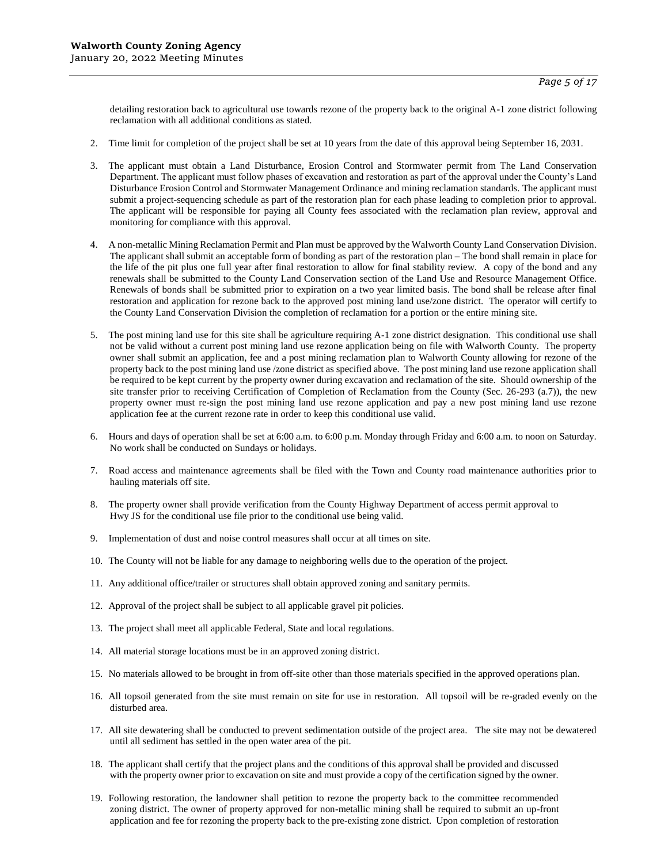detailing restoration back to agricultural use towards rezone of the property back to the original A-1 zone district following reclamation with all additional conditions as stated.

- 2. Time limit for completion of the project shall be set at 10 years from the date of this approval being September 16, 2031.
- 3. The applicant must obtain a Land Disturbance, Erosion Control and Stormwater permit from The Land Conservation Department. The applicant must follow phases of excavation and restoration as part of the approval under the County's Land Disturbance Erosion Control and Stormwater Management Ordinance and mining reclamation standards. The applicant must submit a project-sequencing schedule as part of the restoration plan for each phase leading to completion prior to approval. The applicant will be responsible for paying all County fees associated with the reclamation plan review, approval and monitoring for compliance with this approval.
- 4. A non-metallic Mining Reclamation Permit and Plan must be approved by the Walworth County Land Conservation Division. The applicant shall submit an acceptable form of bonding as part of the restoration plan – The bond shall remain in place for the life of the pit plus one full year after final restoration to allow for final stability review. A copy of the bond and any renewals shall be submitted to the County Land Conservation section of the Land Use and Resource Management Office. Renewals of bonds shall be submitted prior to expiration on a two year limited basis. The bond shall be release after final restoration and application for rezone back to the approved post mining land use/zone district. The operator will certify to the County Land Conservation Division the completion of reclamation for a portion or the entire mining site.
- 5. The post mining land use for this site shall be agriculture requiring A-1 zone district designation. This conditional use shall not be valid without a current post mining land use rezone application being on file with Walworth County. The property owner shall submit an application, fee and a post mining reclamation plan to Walworth County allowing for rezone of the property back to the post mining land use /zone district as specified above. The post mining land use rezone application shall be required to be kept current by the property owner during excavation and reclamation of the site. Should ownership of the site transfer prior to receiving Certification of Completion of Reclamation from the County (Sec. 26-293 (a.7)), the new property owner must re-sign the post mining land use rezone application and pay a new post mining land use rezone application fee at the current rezone rate in order to keep this conditional use valid.
- 6. Hours and days of operation shall be set at 6:00 a.m. to 6:00 p.m. Monday through Friday and 6:00 a.m. to noon on Saturday. No work shall be conducted on Sundays or holidays.
- 7. Road access and maintenance agreements shall be filed with the Town and County road maintenance authorities prior to hauling materials off site.
- 8. The property owner shall provide verification from the County Highway Department of access permit approval to Hwy JS for the conditional use file prior to the conditional use being valid.
- 9. Implementation of dust and noise control measures shall occur at all times on site.
- 10. The County will not be liable for any damage to neighboring wells due to the operation of the project.
- 11. Any additional office/trailer or structures shall obtain approved zoning and sanitary permits.
- 12. Approval of the project shall be subject to all applicable gravel pit policies.
- 13. The project shall meet all applicable Federal, State and local regulations.
- 14. All material storage locations must be in an approved zoning district.
- 15. No materials allowed to be brought in from off-site other than those materials specified in the approved operations plan.
- 16. All topsoil generated from the site must remain on site for use in restoration. All topsoil will be re-graded evenly on the disturbed area.
- 17. All site dewatering shall be conducted to prevent sedimentation outside of the project area. The site may not be dewatered until all sediment has settled in the open water area of the pit.
- 18. The applicant shall certify that the project plans and the conditions of this approval shall be provided and discussed with the property owner prior to excavation on site and must provide a copy of the certification signed by the owner.
- 19. Following restoration, the landowner shall petition to rezone the property back to the committee recommended zoning district. The owner of property approved for non-metallic mining shall be required to submit an up-front application and fee for rezoning the property back to the pre-existing zone district. Upon completion of restoration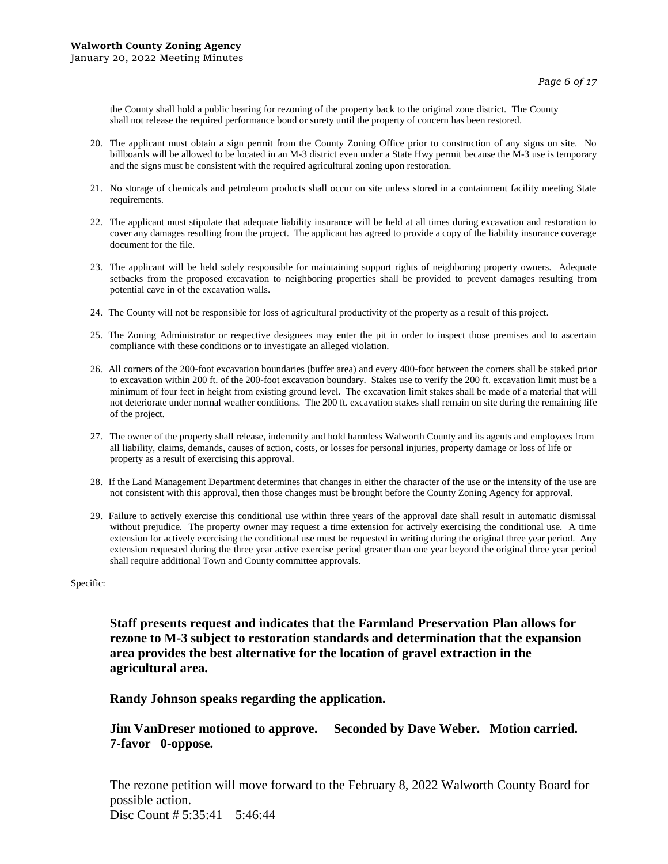the County shall hold a public hearing for rezoning of the property back to the original zone district. The County shall not release the required performance bond or surety until the property of concern has been restored.

- 20. The applicant must obtain a sign permit from the County Zoning Office prior to construction of any signs on site. No billboards will be allowed to be located in an M-3 district even under a State Hwy permit because the M-3 use is temporary and the signs must be consistent with the required agricultural zoning upon restoration.
- 21. No storage of chemicals and petroleum products shall occur on site unless stored in a containment facility meeting State requirements.
- 22. The applicant must stipulate that adequate liability insurance will be held at all times during excavation and restoration to cover any damages resulting from the project. The applicant has agreed to provide a copy of the liability insurance coverage document for the file.
- 23. The applicant will be held solely responsible for maintaining support rights of neighboring property owners. Adequate setbacks from the proposed excavation to neighboring properties shall be provided to prevent damages resulting from potential cave in of the excavation walls.
- 24. The County will not be responsible for loss of agricultural productivity of the property as a result of this project.
- 25. The Zoning Administrator or respective designees may enter the pit in order to inspect those premises and to ascertain compliance with these conditions or to investigate an alleged violation.
- 26. All corners of the 200-foot excavation boundaries (buffer area) and every 400-foot between the corners shall be staked prior to excavation within 200 ft. of the 200-foot excavation boundary. Stakes use to verify the 200 ft. excavation limit must be a minimum of four feet in height from existing ground level. The excavation limit stakes shall be made of a material that will not deteriorate under normal weather conditions. The 200 ft. excavation stakes shall remain on site during the remaining life of the project.
- 27. The owner of the property shall release, indemnify and hold harmless Walworth County and its agents and employees from all liability, claims, demands, causes of action, costs, or losses for personal injuries, property damage or loss of life or property as a result of exercising this approval.
- 28. If the Land Management Department determines that changes in either the character of the use or the intensity of the use are not consistent with this approval, then those changes must be brought before the County Zoning Agency for approval.
- 29. Failure to actively exercise this conditional use within three years of the approval date shall result in automatic dismissal without prejudice. The property owner may request a time extension for actively exercising the conditional use. A time extension for actively exercising the conditional use must be requested in writing during the original three year period. Any extension requested during the three year active exercise period greater than one year beyond the original three year period shall require additional Town and County committee approvals.

Specific:

**Staff presents request and indicates that the Farmland Preservation Plan allows for rezone to M-3 subject to restoration standards and determination that the expansion area provides the best alternative for the location of gravel extraction in the agricultural area.**

### **Randy Johnson speaks regarding the application.**

### **Jim VanDreser motioned to approve. Seconded by Dave Weber. Motion carried. 7-favor 0-oppose.**

The rezone petition will move forward to the February 8, 2022 Walworth County Board for possible action.

Disc Count # 5:35:41 – 5:46:44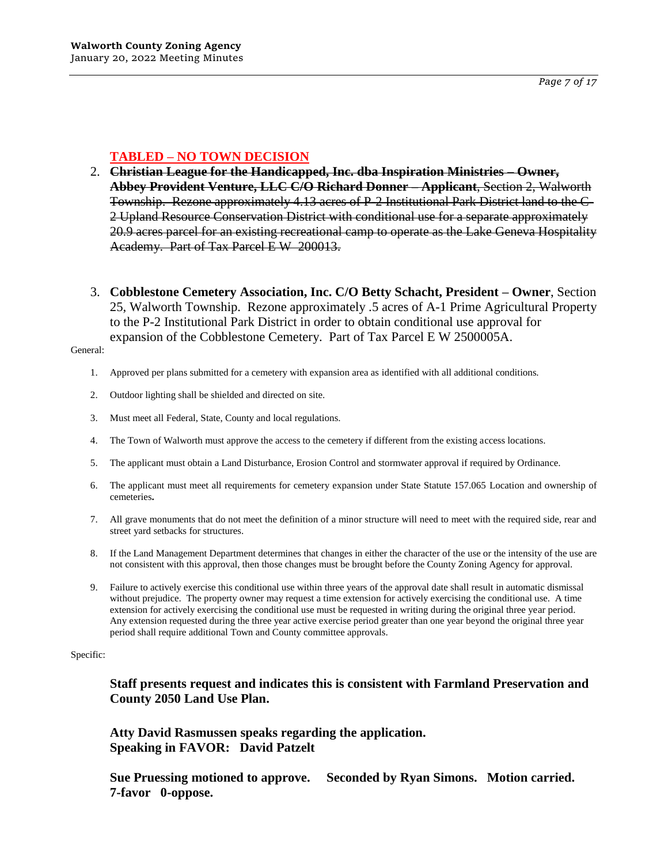# **TABLED – NO TOWN DECISION**

- 2. **Christian League for the Handicapped, Inc. dba Inspiration Ministries – Owner, Abbey Provident Venture, LLC C/O Richard Donner – Applicant**, Section 2, Walworth Township. Rezone approximately 4.13 acres of P-2 Institutional Park District land to the C-2 Upland Resource Conservation District with conditional use for a separate approximately 20.9 acres parcel for an existing recreational camp to operate as the Lake Geneva Hospitality Academy. Part of Tax Parcel E W 200013.
- 3. **Cobblestone Cemetery Association, Inc. C/O Betty Schacht, President – Owner**, Section 25, Walworth Township. Rezone approximately .5 acres of A-1 Prime Agricultural Property to the P-2 Institutional Park District in order to obtain conditional use approval for expansion of the Cobblestone Cemetery. Part of Tax Parcel E W 2500005A.

#### General:

- 1. Approved per plans submitted for a cemetery with expansion area as identified with all additional conditions.
- 2. Outdoor lighting shall be shielded and directed on site.
- 3. Must meet all Federal, State, County and local regulations.
- 4. The Town of Walworth must approve the access to the cemetery if different from the existing access locations.
- 5. The applicant must obtain a Land Disturbance, Erosion Control and stormwater approval if required by Ordinance.
- 6. The applicant must meet all requirements for cemetery expansion under State Statute 157.065 Location and ownership of cemeteries**.**
- 7. All grave monuments that do not meet the definition of a minor structure will need to meet with the required side, rear and street yard setbacks for structures.
- 8. If the Land Management Department determines that changes in either the character of the use or the intensity of the use are not consistent with this approval, then those changes must be brought before the County Zoning Agency for approval.
- 9. Failure to actively exercise this conditional use within three years of the approval date shall result in automatic dismissal without prejudice. The property owner may request a time extension for actively exercising the conditional use. A time extension for actively exercising the conditional use must be requested in writing during the original three year period. Any extension requested during the three year active exercise period greater than one year beyond the original three year period shall require additional Town and County committee approvals.

#### Specific:

**Staff presents request and indicates this is consistent with Farmland Preservation and County 2050 Land Use Plan.** 

**Atty David Rasmussen speaks regarding the application. Speaking in FAVOR: David Patzelt**

**Sue Pruessing motioned to approve. Seconded by Ryan Simons. Motion carried. 7-favor 0-oppose.**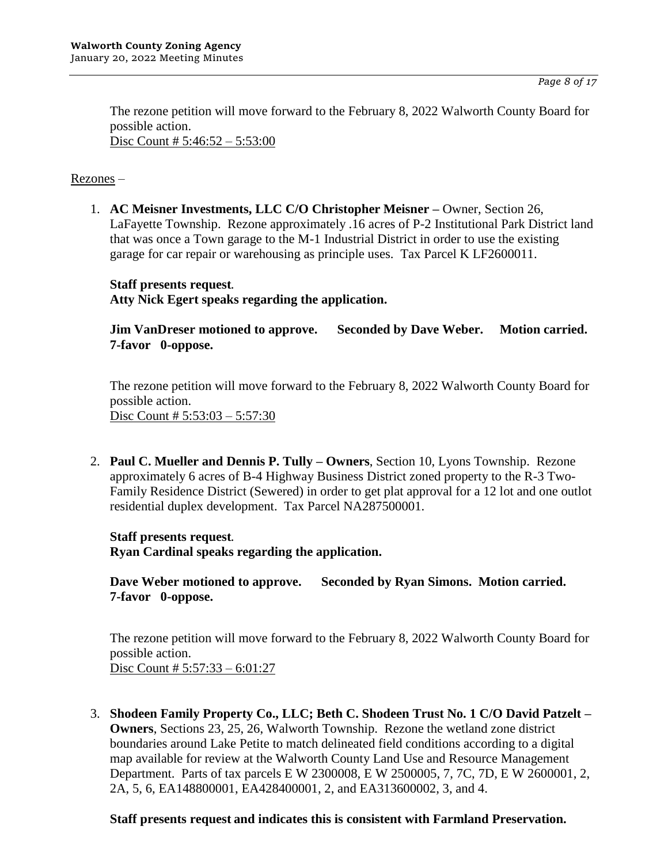The rezone petition will move forward to the February 8, 2022 Walworth County Board for possible action. Disc Count # 5:46:52 – 5:53:00

# Rezones –

1. **AC Meisner Investments, LLC C/O Christopher Meisner –** Owner, Section 26, LaFayette Township. Rezone approximately .16 acres of P-2 Institutional Park District land that was once a Town garage to the M-1 Industrial District in order to use the existing garage for car repair or warehousing as principle uses. Tax Parcel K LF2600011.

# **Staff presents request. Atty Nick Egert speaks regarding the application.**

**Jim VanDreser motioned to approve. Seconded by Dave Weber. Motion carried. 7-favor 0-oppose.**

The rezone petition will move forward to the February 8, 2022 Walworth County Board for possible action. Disc Count # 5:53:03 – 5:57:30

2. **Paul C. Mueller and Dennis P. Tully – Owners**, Section 10, Lyons Township. Rezone approximately 6 acres of B-4 Highway Business District zoned property to the R-3 Two-Family Residence District (Sewered) in order to get plat approval for a 12 lot and one outlot residential duplex development. Tax Parcel NA287500001.

**Staff presents request. Ryan Cardinal speaks regarding the application.**

**Dave Weber motioned to approve. Seconded by Ryan Simons. Motion carried. 7-favor 0-oppose.**

The rezone petition will move forward to the February 8, 2022 Walworth County Board for possible action. Disc Count # 5:57:33 – 6:01:27

3. **Shodeen Family Property Co., LLC; Beth C. Shodeen Trust No. 1 C/O David Patzelt – Owners**, Sections 23, 25, 26, Walworth Township. Rezone the wetland zone district boundaries around Lake Petite to match delineated field conditions according to a digital map available for review at the Walworth County Land Use and Resource Management Department. Parts of tax parcels E W 2300008, E W 2500005, 7, 7C, 7D, E W 2600001, 2, 2A, 5, 6, EA148800001, EA428400001, 2, and EA313600002, 3, and 4.

# **Staff presents request and indicates this is consistent with Farmland Preservation.**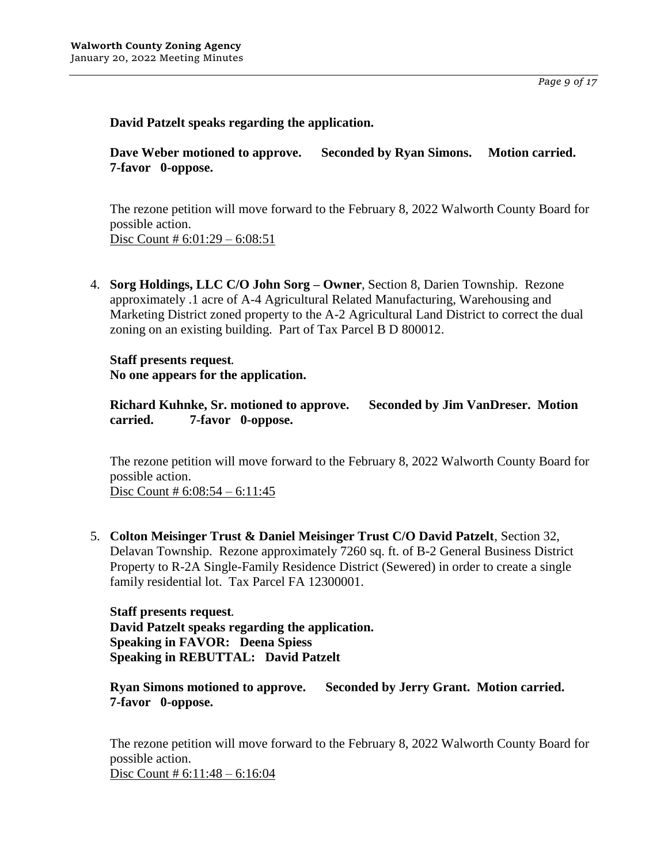*Page 9 of 17*

# **David Patzelt speaks regarding the application.**

**Dave Weber motioned to approve. Seconded by Ryan Simons. Motion carried. 7-favor 0-oppose.**

The rezone petition will move forward to the February 8, 2022 Walworth County Board for possible action. Disc Count # 6:01:29 – 6:08:51

4. **Sorg Holdings, LLC C/O John Sorg – Owner**, Section 8, Darien Township. Rezone approximately .1 acre of A-4 Agricultural Related Manufacturing, Warehousing and Marketing District zoned property to the A-2 Agricultural Land District to correct the dual zoning on an existing building. Part of Tax Parcel B D 800012.

**Staff presents request. No one appears for the application.**

**Richard Kuhnke, Sr. motioned to approve. Seconded by Jim VanDreser. Motion carried. 7-favor 0-oppose.**

The rezone petition will move forward to the February 8, 2022 Walworth County Board for possible action.

Disc Count #  $6:08:54 - 6:11:45$ 

5. **Colton Meisinger Trust & Daniel Meisinger Trust C/O David Patzelt**, Section 32, Delavan Township. Rezone approximately 7260 sq. ft. of B-2 General Business District Property to R-2A Single-Family Residence District (Sewered) in order to create a single family residential lot. Tax Parcel FA 12300001.

**Staff presents request. David Patzelt speaks regarding the application. Speaking in FAVOR: Deena Spiess Speaking in REBUTTAL: David Patzelt**

**Ryan Simons motioned to approve. Seconded by Jerry Grant. Motion carried. 7-favor 0-oppose.**

The rezone petition will move forward to the February 8, 2022 Walworth County Board for possible action. Disc Count # 6:11:48 – 6:16:04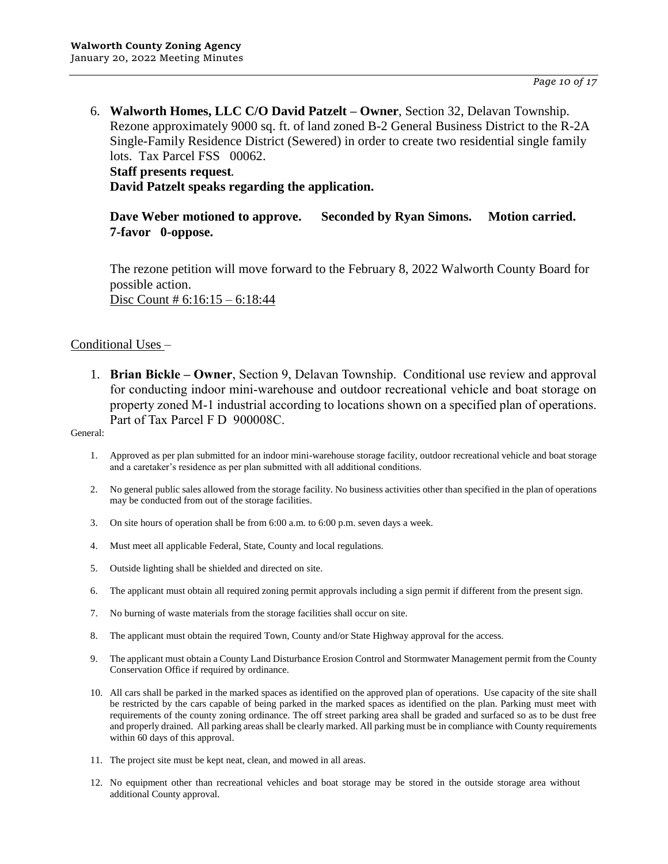6. **Walworth Homes, LLC C/O David Patzelt – Owner**, Section 32, Delavan Township. Rezone approximately 9000 sq. ft. of land zoned B-2 General Business District to the R-2A Single-Family Residence District (Sewered) in order to create two residential single family lots. Tax Parcel FSS 00062.

# **Staff presents request. David Patzelt speaks regarding the application.**

**Dave Weber motioned to approve. Seconded by Ryan Simons. Motion carried. 7-favor 0-oppose.**

The rezone petition will move forward to the February 8, 2022 Walworth County Board for possible action. Disc Count # 6:16:15 – 6:18:44

### Conditional Uses –

1. **Brian Bickle – Owner**, Section 9, Delavan Township. Conditional use review and approval for conducting indoor mini-warehouse and outdoor recreational vehicle and boat storage on property zoned M-1 industrial according to locations shown on a specified plan of operations. Part of Tax Parcel F D 900008C.

- 1. Approved as per plan submitted for an indoor mini-warehouse storage facility, outdoor recreational vehicle and boat storage and a caretaker's residence as per plan submitted with all additional conditions.
- 2. No general public sales allowed from the storage facility. No business activities other than specified in the plan of operations may be conducted from out of the storage facilities.
- 3. On site hours of operation shall be from 6:00 a.m. to 6:00 p.m. seven days a week.
- 4. Must meet all applicable Federal, State, County and local regulations.
- 5. Outside lighting shall be shielded and directed on site.
- 6. The applicant must obtain all required zoning permit approvals including a sign permit if different from the present sign.
- 7. No burning of waste materials from the storage facilities shall occur on site.
- 8. The applicant must obtain the required Town, County and/or State Highway approval for the access.
- 9. The applicant must obtain a County Land Disturbance Erosion Control and Stormwater Management permit from the County Conservation Office if required by ordinance.
- 10. All cars shall be parked in the marked spaces as identified on the approved plan of operations. Use capacity of the site shall be restricted by the cars capable of being parked in the marked spaces as identified on the plan. Parking must meet with requirements of the county zoning ordinance. The off street parking area shall be graded and surfaced so as to be dust free and properly drained. All parking areas shall be clearly marked. All parking must be in compliance with County requirements within 60 days of this approval.
- 11. The project site must be kept neat, clean, and mowed in all areas.
- 12. No equipment other than recreational vehicles and boat storage may be stored in the outside storage area without additional County approval.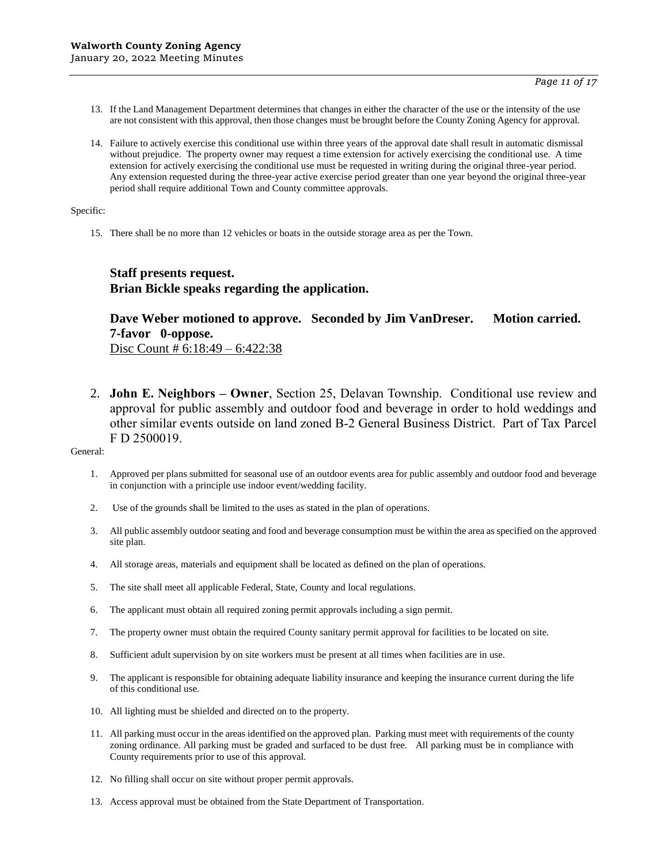- 13. If the Land Management Department determines that changes in either the character of the use or the intensity of the use are not consistent with this approval, then those changes must be brought before the County Zoning Agency for approval.
- 14. Failure to actively exercise this conditional use within three years of the approval date shall result in automatic dismissal without prejudice. The property owner may request a time extension for actively exercising the conditional use. A time extension for actively exercising the conditional use must be requested in writing during the original three-year period. Any extension requested during the three-year active exercise period greater than one year beyond the original three-year period shall require additional Town and County committee approvals.

Specific:

15. There shall be no more than 12 vehicles or boats in the outside storage area as per the Town.

### **Staff presents request. Brian Bickle speaks regarding the application.**

# **Dave Weber motioned to approve. Seconded by Jim VanDreser. Motion carried. 7-favor 0-oppose.**

Disc Count # 6:18:49 – 6:422:38

2. **John E. Neighbors – Owner**, Section 25, Delavan Township. Conditional use review and approval for public assembly and outdoor food and beverage in order to hold weddings and other similar events outside on land zoned B-2 General Business District. Part of Tax Parcel F D 2500019.

- 1. Approved per plans submitted for seasonal use of an outdoor events area for public assembly and outdoor food and beverage in conjunction with a principle use indoor event/wedding facility.
- 2. Use of the grounds shall be limited to the uses as stated in the plan of operations.
- 3. All public assembly outdoor seating and food and beverage consumption must be within the area as specified on the approved site plan.
- 4. All storage areas, materials and equipment shall be located as defined on the plan of operations.
- 5. The site shall meet all applicable Federal, State, County and local regulations.
- 6. The applicant must obtain all required zoning permit approvals including a sign permit.
- 7. The property owner must obtain the required County sanitary permit approval for facilities to be located on site.
- 8. Sufficient adult supervision by on site workers must be present at all times when facilities are in use.
- 9. The applicant is responsible for obtaining adequate liability insurance and keeping the insurance current during the life of this conditional use.
- 10. All lighting must be shielded and directed on to the property.
- 11. All parking must occur in the areas identified on the approved plan. Parking must meet with requirements of the county zoning ordinance. All parking must be graded and surfaced to be dust free. All parking must be in compliance with County requirements prior to use of this approval.
- 12. No filling shall occur on site without proper permit approvals.
- 13. Access approval must be obtained from the State Department of Transportation.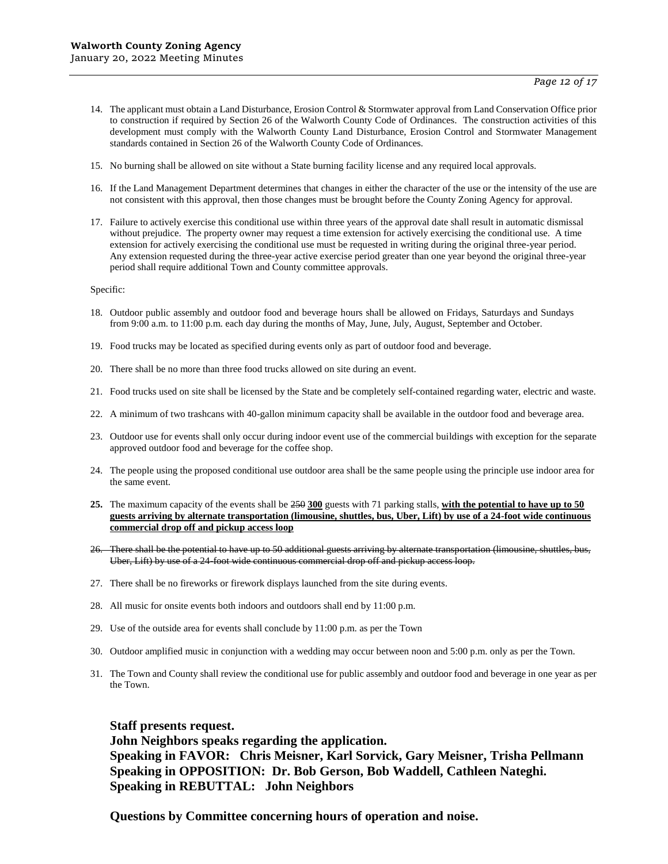- 14. The applicant must obtain a Land Disturbance, Erosion Control & Stormwater approval from Land Conservation Office prior to construction if required by Section 26 of the Walworth County Code of Ordinances. The construction activities of this development must comply with the Walworth County Land Disturbance, Erosion Control and Stormwater Management standards contained in Section 26 of the Walworth County Code of Ordinances.
- 15. No burning shall be allowed on site without a State burning facility license and any required local approvals.
- 16. If the Land Management Department determines that changes in either the character of the use or the intensity of the use are not consistent with this approval, then those changes must be brought before the County Zoning Agency for approval.
- 17. Failure to actively exercise this conditional use within three years of the approval date shall result in automatic dismissal without prejudice. The property owner may request a time extension for actively exercising the conditional use. A time extension for actively exercising the conditional use must be requested in writing during the original three-year period. Any extension requested during the three-year active exercise period greater than one year beyond the original three-year period shall require additional Town and County committee approvals.

Specific:

- 18. Outdoor public assembly and outdoor food and beverage hours shall be allowed on Fridays, Saturdays and Sundays from 9:00 a.m. to 11:00 p.m. each day during the months of May, June, July, August, September and October.
- 19. Food trucks may be located as specified during events only as part of outdoor food and beverage.
- 20. There shall be no more than three food trucks allowed on site during an event.
- 21. Food trucks used on site shall be licensed by the State and be completely self-contained regarding water, electric and waste.
- 22. A minimum of two trashcans with 40-gallon minimum capacity shall be available in the outdoor food and beverage area.
- 23. Outdoor use for events shall only occur during indoor event use of the commercial buildings with exception for the separate approved outdoor food and beverage for the coffee shop.
- 24. The people using the proposed conditional use outdoor area shall be the same people using the principle use indoor area for the same event.
- **25.** The maximum capacity of the events shall be 250 **300** guests with 71 parking stalls, **with the potential to have up to 50 guests arriving by alternate transportation (limousine, shuttles, bus, Uber, Lift) by use of a 24-foot wide continuous commercial drop off and pickup access loop**
- 26. There shall be the potential to have up to 50 additional guests arriving by alternate transportation (limousine, shuttles, bus, Uber, Lift) by use of a 24-foot wide continuous commercial drop off and pickup access loop.
- 27. There shall be no fireworks or firework displays launched from the site during events.
- 28. All music for onsite events both indoors and outdoors shall end by 11:00 p.m.
- 29. Use of the outside area for events shall conclude by 11:00 p.m. as per the Town
- 30. Outdoor amplified music in conjunction with a wedding may occur between noon and 5:00 p.m. only as per the Town.
- 31. The Town and County shall review the conditional use for public assembly and outdoor food and beverage in one year as per the Town.

#### **Staff presents request.**

**John Neighbors speaks regarding the application. Speaking in FAVOR: Chris Meisner, Karl Sorvick, Gary Meisner, Trisha Pellmann Speaking in OPPOSITION: Dr. Bob Gerson, Bob Waddell, Cathleen Nateghi. Speaking in REBUTTAL: John Neighbors**

**Questions by Committee concerning hours of operation and noise.**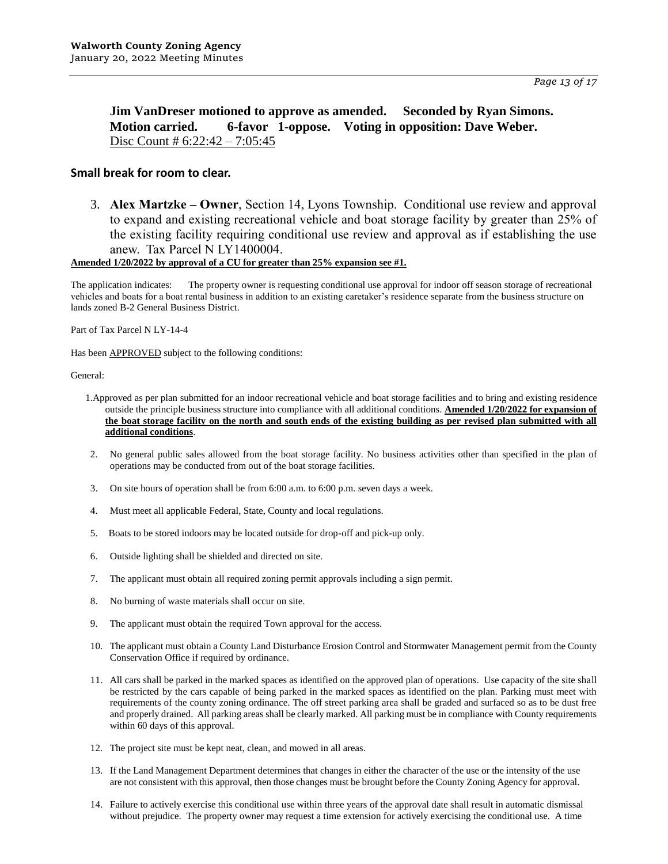**Jim VanDreser motioned to approve as amended. Seconded by Ryan Simons. Motion carried. 6-favor 1-oppose. Voting in opposition: Dave Weber.** Disc Count # 6:22:42 – 7:05:45

#### **Small break for room to clear.**

3. **Alex Martzke – Owner**, Section 14, Lyons Township. Conditional use review and approval to expand and existing recreational vehicle and boat storage facility by greater than 25% of the existing facility requiring conditional use review and approval as if establishing the use anew. Tax Parcel N LY1400004.

#### **Amended 1/20/2022 by approval of a CU for greater than 25% expansion see #1.**

The application indicates: The property owner is requesting conditional use approval for indoor off season storage of recreational vehicles and boats for a boat rental business in addition to an existing caretaker's residence separate from the business structure on lands zoned B-2 General Business District.

Part of Tax Parcel N LY-14-4

Has been APPROVED subject to the following conditions:

- 1.Approved as per plan submitted for an indoor recreational vehicle and boat storage facilities and to bring and existing residence outside the principle business structure into compliance with all additional conditions. **Amended 1/20/2022 for expansion of the boat storage facility on the north and south ends of the existing building as per revised plan submitted with all additional conditions**.
- 2. No general public sales allowed from the boat storage facility. No business activities other than specified in the plan of operations may be conducted from out of the boat storage facilities.
- 3. On site hours of operation shall be from 6:00 a.m. to 6:00 p.m. seven days a week.
- 4. Must meet all applicable Federal, State, County and local regulations.
- 5. Boats to be stored indoors may be located outside for drop-off and pick-up only.
- 6. Outside lighting shall be shielded and directed on site.
- 7. The applicant must obtain all required zoning permit approvals including a sign permit.
- 8. No burning of waste materials shall occur on site.
- 9. The applicant must obtain the required Town approval for the access.
- 10. The applicant must obtain a County Land Disturbance Erosion Control and Stormwater Management permit from the County Conservation Office if required by ordinance.
- 11. All cars shall be parked in the marked spaces as identified on the approved plan of operations. Use capacity of the site shall be restricted by the cars capable of being parked in the marked spaces as identified on the plan. Parking must meet with requirements of the county zoning ordinance. The off street parking area shall be graded and surfaced so as to be dust free and properly drained. All parking areas shall be clearly marked. All parking must be in compliance with County requirements within 60 days of this approval.
- 12. The project site must be kept neat, clean, and mowed in all areas.
- 13. If the Land Management Department determines that changes in either the character of the use or the intensity of the use are not consistent with this approval, then those changes must be brought before the County Zoning Agency for approval.
- 14. Failure to actively exercise this conditional use within three years of the approval date shall result in automatic dismissal without prejudice. The property owner may request a time extension for actively exercising the conditional use. A time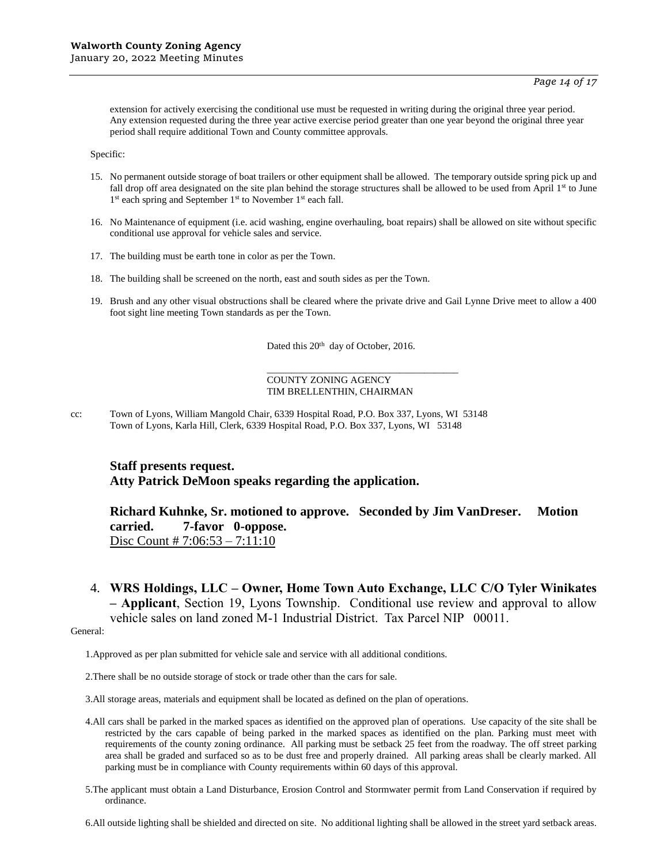extension for actively exercising the conditional use must be requested in writing during the original three year period. Any extension requested during the three year active exercise period greater than one year beyond the original three year period shall require additional Town and County committee approvals.

Specific:

- 15. No permanent outside storage of boat trailers or other equipment shall be allowed. The temporary outside spring pick up and fall drop off area designated on the site plan behind the storage structures shall be allowed to be used from April 1st to June 1<sup>st</sup> each spring and September 1<sup>st</sup> to November 1<sup>st</sup> each fall.
- 16. No Maintenance of equipment (i.e. acid washing, engine overhauling, boat repairs) shall be allowed on site without specific conditional use approval for vehicle sales and service.
- 17. The building must be earth tone in color as per the Town.
- 18. The building shall be screened on the north, east and south sides as per the Town.
- 19. Brush and any other visual obstructions shall be cleared where the private drive and Gail Lynne Drive meet to allow a 400 foot sight line meeting Town standards as per the Town.

Dated this 20<sup>th</sup> day of October, 2016.

\_\_\_\_\_\_\_\_\_\_\_\_\_\_\_\_\_\_\_\_\_\_\_\_\_\_\_\_\_\_\_\_\_\_\_\_\_\_\_

#### COUNTY ZONING AGENCY TIM BRELLENTHIN, CHAIRMAN

cc: Town of Lyons, William Mangold Chair, 6339 Hospital Road, P.O. Box 337, Lyons, WI 53148 Town of Lyons, Karla Hill, Clerk, 6339 Hospital Road, P.O. Box 337, Lyons, WI 53148

#### **Staff presents request. Atty Patrick DeMoon speaks regarding the application.**

**Richard Kuhnke, Sr. motioned to approve. Seconded by Jim VanDreser. Motion carried. 7-favor 0-oppose.**  Disc Count # 7:06:53 – 7:11:10

4. **WRS Holdings, LLC – Owner, Home Town Auto Exchange, LLC C/O Tyler Winikates – Applicant**, Section 19, Lyons Township. Conditional use review and approval to allow vehicle sales on land zoned M-1 Industrial District. Tax Parcel NIP 00011.

General:

1.Approved as per plan submitted for vehicle sale and service with all additional conditions.

2.There shall be no outside storage of stock or trade other than the cars for sale.

3.All storage areas, materials and equipment shall be located as defined on the plan of operations.

- 4.All cars shall be parked in the marked spaces as identified on the approved plan of operations. Use capacity of the site shall be restricted by the cars capable of being parked in the marked spaces as identified on the plan. Parking must meet with requirements of the county zoning ordinance. All parking must be setback 25 feet from the roadway. The off street parking area shall be graded and surfaced so as to be dust free and properly drained. All parking areas shall be clearly marked. All parking must be in compliance with County requirements within 60 days of this approval.
- 5.The applicant must obtain a Land Disturbance, Erosion Control and Stormwater permit from Land Conservation if required by ordinance.
- 6.All outside lighting shall be shielded and directed on site. No additional lighting shall be allowed in the street yard setback areas.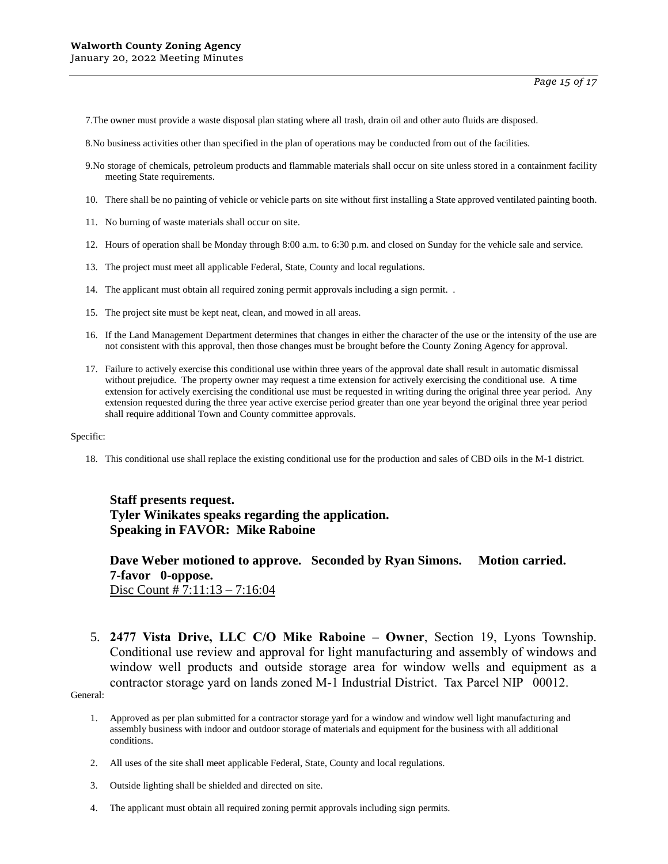7.The owner must provide a waste disposal plan stating where all trash, drain oil and other auto fluids are disposed.

8.No business activities other than specified in the plan of operations may be conducted from out of the facilities.

- 9.No storage of chemicals, petroleum products and flammable materials shall occur on site unless stored in a containment facility meeting State requirements.
- 10. There shall be no painting of vehicle or vehicle parts on site without first installing a State approved ventilated painting booth.
- 11. No burning of waste materials shall occur on site.
- 12. Hours of operation shall be Monday through 8:00 a.m. to 6:30 p.m. and closed on Sunday for the vehicle sale and service.
- 13. The project must meet all applicable Federal, State, County and local regulations.
- 14. The applicant must obtain all required zoning permit approvals including a sign permit. .
- 15. The project site must be kept neat, clean, and mowed in all areas.
- 16. If the Land Management Department determines that changes in either the character of the use or the intensity of the use are not consistent with this approval, then those changes must be brought before the County Zoning Agency for approval.
- 17. Failure to actively exercise this conditional use within three years of the approval date shall result in automatic dismissal without prejudice. The property owner may request a time extension for actively exercising the conditional use. A time extension for actively exercising the conditional use must be requested in writing during the original three year period. Any extension requested during the three year active exercise period greater than one year beyond the original three year period shall require additional Town and County committee approvals.

#### Specific:

18. This conditional use shall replace the existing conditional use for the production and sales of CBD oils in the M-1 district.

# **Staff presents request. Tyler Winikates speaks regarding the application. Speaking in FAVOR: Mike Raboine**

**Dave Weber motioned to approve. Seconded by Ryan Simons. Motion carried. 7-favor 0-oppose.**  Disc Count # 7:11:13 – 7:16:04

5. **2477 Vista Drive, LLC C/O Mike Raboine – Owner**, Section 19, Lyons Township. Conditional use review and approval for light manufacturing and assembly of windows and window well products and outside storage area for window wells and equipment as a contractor storage yard on lands zoned M-1 Industrial District. Tax Parcel NIP 00012.

- 1. Approved as per plan submitted for a contractor storage yard for a window and window well light manufacturing and assembly business with indoor and outdoor storage of materials and equipment for the business with all additional conditions.
- 2. All uses of the site shall meet applicable Federal, State, County and local regulations.
- 3. Outside lighting shall be shielded and directed on site.
- 4. The applicant must obtain all required zoning permit approvals including sign permits.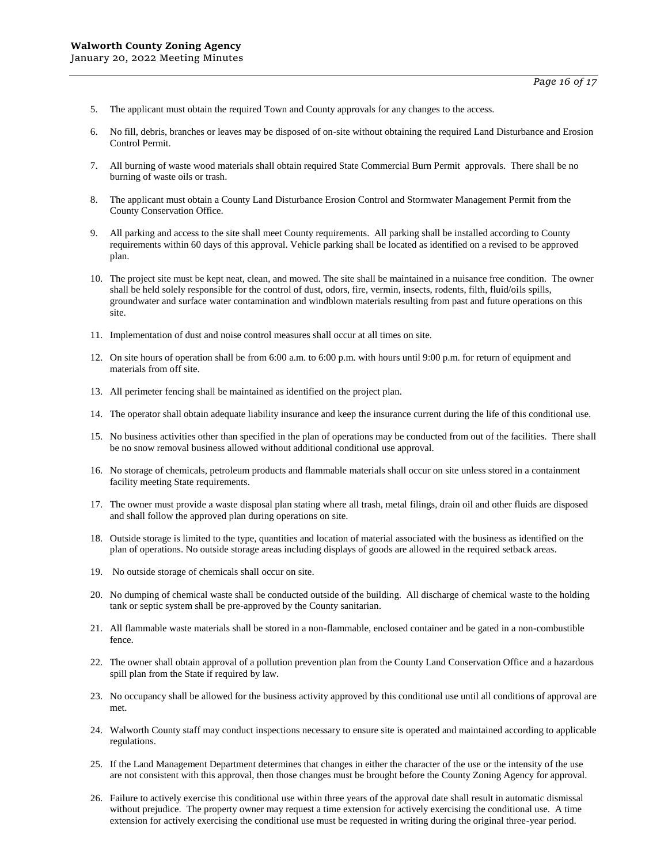- 5. The applicant must obtain the required Town and County approvals for any changes to the access.
- 6. No fill, debris, branches or leaves may be disposed of on-site without obtaining the required Land Disturbance and Erosion Control Permit.
- 7. All burning of waste wood materials shall obtain required State Commercial Burn Permit approvals. There shall be no burning of waste oils or trash.
- 8. The applicant must obtain a County Land Disturbance Erosion Control and Stormwater Management Permit from the County Conservation Office.
- 9. All parking and access to the site shall meet County requirements. All parking shall be installed according to County requirements within 60 days of this approval. Vehicle parking shall be located as identified on a revised to be approved plan.
- 10. The project site must be kept neat, clean, and mowed. The site shall be maintained in a nuisance free condition. The owner shall be held solely responsible for the control of dust, odors, fire, vermin, insects, rodents, filth, fluid/oils spills, groundwater and surface water contamination and windblown materials resulting from past and future operations on this site.
- 11. Implementation of dust and noise control measures shall occur at all times on site.
- 12. On site hours of operation shall be from 6:00 a.m. to 6:00 p.m. with hours until 9:00 p.m. for return of equipment and materials from off site.
- 13. All perimeter fencing shall be maintained as identified on the project plan.
- 14. The operator shall obtain adequate liability insurance and keep the insurance current during the life of this conditional use.
- 15. No business activities other than specified in the plan of operations may be conducted from out of the facilities. There shall be no snow removal business allowed without additional conditional use approval.
- 16. No storage of chemicals, petroleum products and flammable materials shall occur on site unless stored in a containment facility meeting State requirements.
- 17. The owner must provide a waste disposal plan stating where all trash, metal filings, drain oil and other fluids are disposed and shall follow the approved plan during operations on site.
- 18. Outside storage is limited to the type, quantities and location of material associated with the business as identified on the plan of operations. No outside storage areas including displays of goods are allowed in the required setback areas.
- 19. No outside storage of chemicals shall occur on site.
- 20. No dumping of chemical waste shall be conducted outside of the building. All discharge of chemical waste to the holding tank or septic system shall be pre-approved by the County sanitarian.
- 21. All flammable waste materials shall be stored in a non-flammable, enclosed container and be gated in a non-combustible fence.
- 22. The owner shall obtain approval of a pollution prevention plan from the County Land Conservation Office and a hazardous spill plan from the State if required by law.
- 23. No occupancy shall be allowed for the business activity approved by this conditional use until all conditions of approval are met.
- 24. Walworth County staff may conduct inspections necessary to ensure site is operated and maintained according to applicable regulations.
- 25. If the Land Management Department determines that changes in either the character of the use or the intensity of the use are not consistent with this approval, then those changes must be brought before the County Zoning Agency for approval.
- 26. Failure to actively exercise this conditional use within three years of the approval date shall result in automatic dismissal without prejudice. The property owner may request a time extension for actively exercising the conditional use. A time extension for actively exercising the conditional use must be requested in writing during the original three-year period.